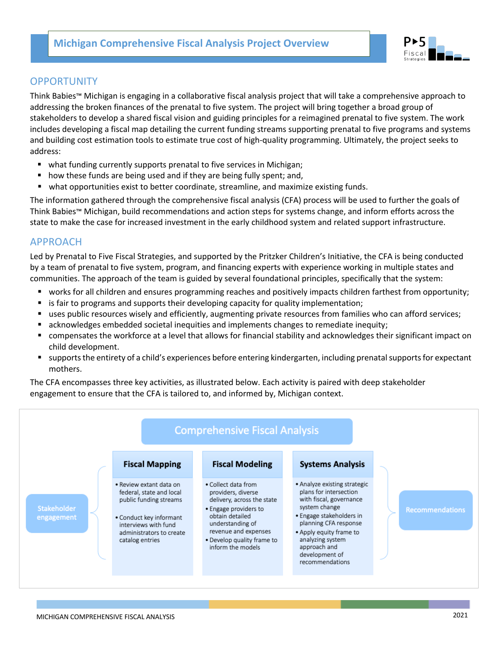

# **OPPORTUNITY**

Think Babies™ Michigan is engaging in a collaborative fiscal analysis project that will take a comprehensive approach to addressing the broken finances of the prenatal to five system. The project will bring together a broad group of stakeholders to develop a shared fiscal vision and guiding principles for a reimagined prenatal to five system. The work includes developing a fiscal map detailing the current funding streams supporting prenatal to five programs and systems and building cost estimation tools to estimate true cost of high-quality programming. Ultimately, the project seeks to address:

- what funding currently supports prenatal to five services in Michigan;
- how these funds are being used and if they are being fully spent; and,
- what opportunities exist to better coordinate, streamline, and maximize existing funds.

The information gathered through the comprehensive fiscal analysis (CFA) process will be used to further the goals of Think Babies™ Michigan, build recommendations and action steps for systems change, and inform efforts across the state to make the case for increased investment in the early childhood system and related support infrastructure.

## APPROACH

Led by Prenatal to Five Fiscal Strategies, and supported by the Pritzker Children's Initiative, the CFA is being conducted by a team of prenatal to five system, program, and financing experts with experience working in multiple states and communities. The approach of the team is guided by several foundational principles, specifically that the system:

- § works for all children and ensures programming reaches and positively impacts children farthest from opportunity;
- is fair to programs and supports their developing capacity for quality implementation;
- uses public resources wisely and efficiently, augmenting private resources from families who can afford services;
- acknowledges embedded societal inequities and implements changes to remediate inequity;
- compensates the workforce at a level that allows for financial stability and acknowledges their significant impact on child development.
- § supports the entirety of a child's experiences before entering kindergarten, including prenatal supports for expectant mothers.

The CFA encompasses three key activities, as illustrated below. Each activity is paired with deep stakeholder engagement to ensure that the CFA is tailored to, and informed by, Michigan context.